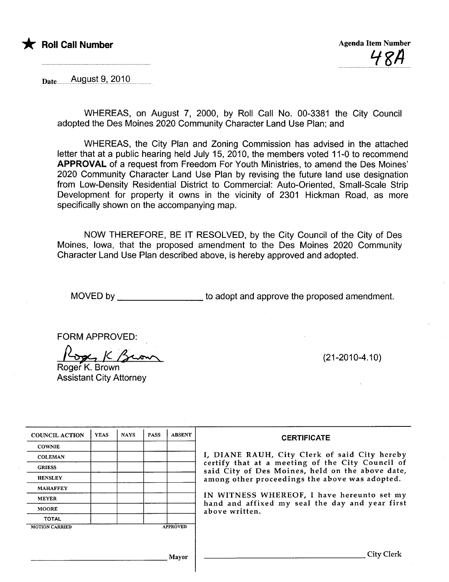

 $_{\text{Date}}$   $_{\text{August 9, 2010}}$ 

WHEREAS, on August 7, 2000, by Roll Call No. 00-3381 the City Council adopted the Des Moines 2020 Community Character Land Use Plan; and

WHEREAS, the City Plan and Zoning Commission has advised in the attached letter that at a public hearing held July 15, 2010, the members voted 11-0 to recommend APPROVAL of a request from Freedom For Youth Ministries, to amend the Des Moines' 2020 Community Character Land Use Plan by revising the future land use designation from Low-Density Residential District to Commercial: Auto-Oriented, Small-Scale Strip Development for property it owns in the vicinity of 2301 Hickman Road, as more specifically shown on the accompanying map.

NOW THEREFORE, BE IT RESOLVED, by the City Council of the City of Des Moines, Iowa, that the proposed amendment to the Des Moines 2020 Community Character Land Use Plan described above, is hereby approved and adopted.

MOVED by to adopt and approve the proposed amendment.

FORM APPROVED:

FORM APPROVED:<br>2000 K. Brown<br>Roger K. Brown

Assistant City Attorney

(21-2010-4.10)

| <b>COUNCIL ACTION</b> | <b>YEAS</b> | <b>NAYS</b> | <b>PASS</b> | <b>ABSENT</b>   | <b>CERTIFICATE</b>                                                                                   |
|-----------------------|-------------|-------------|-------------|-----------------|------------------------------------------------------------------------------------------------------|
| <b>COWNIE</b>         |             |             |             |                 |                                                                                                      |
| <b>COLEMAN</b>        |             |             |             |                 | I, DIANE RAUH, City Clerk of said City hereby                                                        |
| <b>GRIESS</b>         |             |             |             |                 | certify that at a meeting of the City Council of<br>said City of Des Moines, held on the above date, |
| <b>HENSLEY</b>        |             |             |             |                 | among other proceedings the above was adopted.                                                       |
| <b>MAHAFFEY</b>       |             |             |             |                 |                                                                                                      |
| <b>MEYER</b>          |             |             |             |                 | IN WITNESS WHEREOF, I have hereunto set my<br>hand and affixed my seal the day and year first        |
| <b>MOORE</b>          |             |             |             |                 | above written.                                                                                       |
| <b>TOTAL</b>          |             |             |             |                 |                                                                                                      |
| <b>MOTION CARRIED</b> |             |             |             | <b>APPROVED</b> |                                                                                                      |
|                       |             |             |             |                 |                                                                                                      |
|                       |             |             |             | Mavor           |                                                                                                      |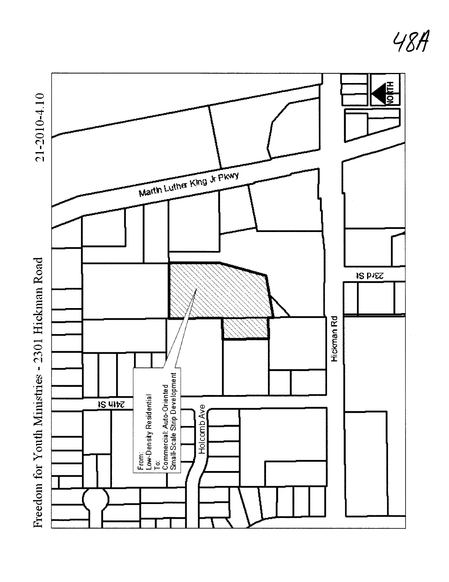

48A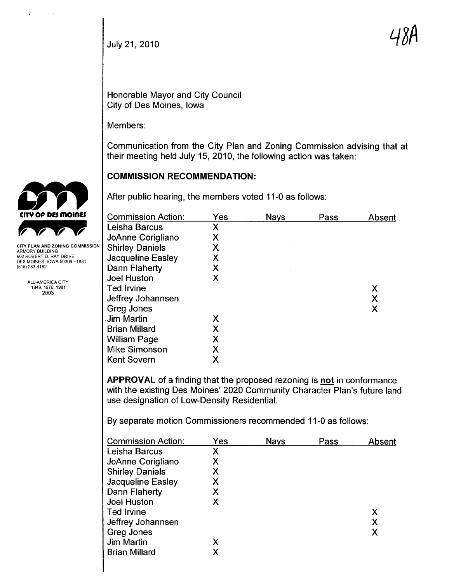July 21, 2010  $\mathcal{A}$  DM

Honorable Mayor and City Council City of Des Moines, Iowa

Members:

Communication from the City Plan and Zoning Commission advising that at their meeting held July 15, 2010, the following action was taken:

# COMMISSION RECOMMENDATION:

After public hearing, the members voted 11-0 as follows:

| <b>Commission Action:</b> | Yes | <b>Nays</b> | Pass | Absent |
|---------------------------|-----|-------------|------|--------|
| Leisha Barcus             | Χ   |             |      |        |
| JoAnne Corigliano         | Χ   |             |      |        |
| <b>Shirley Daniels</b>    | Χ   |             |      |        |
| <b>Jacqueline Easley</b>  | Χ   |             |      |        |
| Dann Flaherty             | Χ   |             |      |        |
| <b>Joel Huston</b>        | Χ   |             |      |        |
| <b>Ted Irvine</b>         |     |             |      | X      |
| Jeffrey Johannsen         |     |             |      | X      |
| Greg Jones                |     |             |      | X      |
| Jim Martin                | Х   |             |      |        |
| <b>Brian Millard</b>      | Χ   |             |      |        |
| <b>William Page</b>       | Χ   |             |      |        |
| <b>Mike Simonson</b>      | Χ   |             |      |        |
| <b>Kent Sovern</b>        | X   |             |      |        |
|                           |     |             |      |        |

APPROVAL of a finding that the proposed rezoning is not in conformance with the existing Des Moines' 2020 Community Character Plan's future land use designation of Low-Density ResidentiaL.

By separate motion Commissioners recommended 11-0 as follows:

| <b>Commission Action:</b> | Yes | <b>Nays</b> | Pass | Absent |
|---------------------------|-----|-------------|------|--------|
| Leisha Barcus             | Χ   |             |      |        |
| JoAnne Corigliano         | Χ   |             |      |        |
| <b>Shirley Daniels</b>    | Χ   |             |      |        |
| Jacqueline Easley         | Х   |             |      |        |
| Dann Flaherty             | Х   |             |      |        |
| Joel Huston               | Χ   |             |      |        |
| Ted Irvine                |     |             |      | Х      |
| Jeffrey Johannsen         |     |             |      | X      |
| Greg Jones                |     |             |      | Χ      |
| Jim Martin                | X   |             |      |        |
| <b>Brian Millard</b>      | Χ   |             |      |        |
|                           |     |             |      |        |



 $\cdot$ 

ARMORY BUILDING 602 ROBERT D. RAY DRIVE DES MOINES, IOWA 50309 -1881 (515) 283-4182

> ALL-AMERICA CITY 1949,1976,1981 2003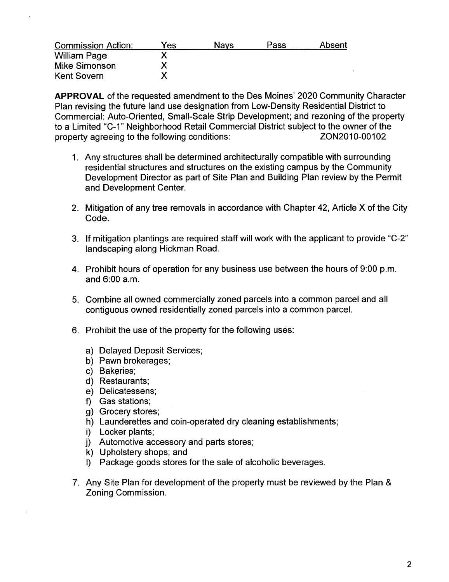| <b>Commission Action:</b> | Yes. | Navs | Pass | Absent |
|---------------------------|------|------|------|--------|
| <b>William Page</b>       |      |      |      |        |
| Mike Simonson             |      |      |      |        |
| <b>Kent Sovern</b>        |      |      |      |        |

APPROVAL of the requested amendment to the Des Moines' 2020 Community Character Plan revising the future land use designation from Low-Density Residential District to Commercial: Auto-Oriented, Small-Scale Strip Development; and rezoning of the property to a Limited "C-1" Neighborhood Retail Commercial District subject to the owner of the property agreeing to the following conditions: ZON2010-00102

- 1. Any structures shall be determined architecturally compatible with surrounding residential structures and structures on the existing campus by the Community Development Director as part of Site Plan and Building Plan review by the Permit and Development Center.
- 2. Mitigation of any tree removals in accordance with Chapter 42, Article X of the City Code.
- 3. If mitigation plantings are required staff will work with the applicant to provide "C-2" landscaping along Hickman Road.
- 4. Prohibit hours of operation for any business use between the hours of 9:00 p.m. and 6:00 a.m.
- 5. Combine all owned commercially zoned parcels into a common parcel and all contiguous owned residentially zoned parcels into a common parceL.
- 6. Prohibit the use of the property for the following uses:
	- a) Delayed Deposit Services;
	- b) Pawn brokerages;
	- c) Bakeries;
	- d) Restaurants;
	- e) Delicatessens;
	- f) Gas stations;
	- g) Grocery stores;
	- h) Launderettes and coin-operated dry cleaning establishments;
	- i) Locker plants;
	- j) Automotive accessory and parts stores;
	- k) Upholstery shops; and
	- i) Package goods stores for the sale of alcoholic beverages.
- 7. Any Site Plan for development of the property must be reviewed by the Plan & Zoning Commission.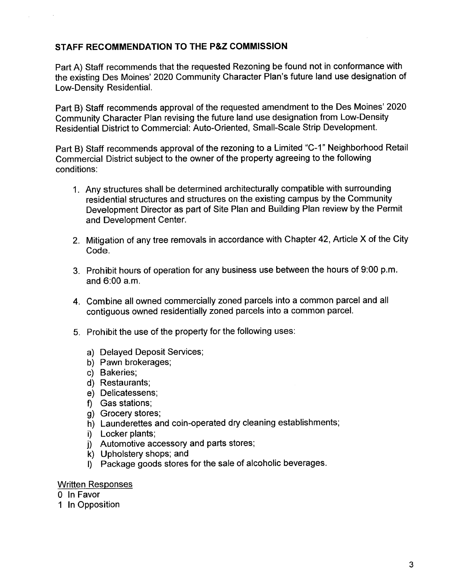## STAFF RECOMMENDATION TO THE P&Z COMMISSION

Part A) Staff recommends that the requested Rezoning be found not in conformance with the existing Des Moines' 2020 Community Character Plan's future land use designation of Low-Density Residential.

Part B) Staff recommends approval of the requested amendment to the Des Moines' 2020 Community Character Plan revising the future land use designation from Low-Density Residential District to Commercial: Auto-Oriented, Small-Scale Strip Development.

Part B) Staff recommends approval of the rezoning to a Limited "C-1" Neighborhood Retail Commercial District subject to the owner of the property agreeing to the following conditions:

- 1. Any structures shall be determined architecturally compatible with surrounding residential structures and structures on the existing campus by the Community Development Director as part of Site Plan and Building Plan review by the Permit and Development Center.
- 2. Mitigation of any tree removals in accordance with Chapter 42, Article X of the City Code.
- 3. Prohibit hours of operation for any business use between the hours of 9:00 p.m. and 6:00 a.m.
- 4. Combine all owned commercially zoned parcels into a common parcel and all contiguous owned residentially zoned parcels into a common parceL.
- 5. Prohibit the use of the property for the following uses:
	- a) Delayed Deposit Services;
	- b) Pawn brokerages;
	- c) Bakeries;
	- d) Restaurants;
	- e) Delicatessens;
	- f) Gas stations;
	- g) Grocery stores;
	- h) Launderettes and coin-operated dry cleaning establishments;
	- i) Locker plants;
	- j) Automotive accessory and parts stores;
	- k) Upholstery shops; and
	- I) Package goods stores for the sale of alcoholic beverages.

#### Written Responses

o In Favor

1 In Opposition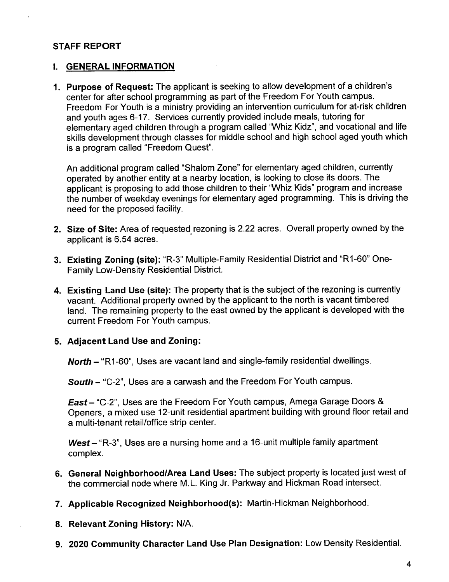## STAFF REPORT

#### I. GENERAL INFORMATION

1. Purpose of Request: The applicant is seeking to allow development of a children's center for after school programming as part of the Freedom For Youth campus. Freedom For Youth is a ministry providing an intervention curriculum for at-risk children and youth ages 6-17. Services currently provided include meals, tutoring for elementary aged children through a program called "Whiz Kidz", and vocational and life skils development through classes for middle school and high school aged youth which is a program called "Freedom Quest".

An additional program called "Shalom Zone" for elementary aged children, currently operated by another entity at a nearby location, is looking to close its doors. The applicant is proposing to add those children to their "Whiz Kids" program and increase the number of weekday evenings for elementary aged programming. This is driving the need for the proposed facility.

- 2. Size of Site: Area of requested rezoning is 2.22 acres. Overall property owned by the applicant is 6.54 acres. .
- 3. Existing Zoning (site): "R-3" Multiple-Family Residential District and "R1-60" One-Family Low-Density Residential District.
- 4. Existing Land Use (site): The property that is the subject of the rezoning is currently vacant. Additional property owned by the applicant to the north is vacant timbered land. The remaining property to the east owned by the applicant is developed with the current Freedom For Youth campus.

#### 5. Adjacent Land Use and Zoning:

North - "R1-60", Uses are vacant land and single-family residential dwellings.

South - "C-2", Uses are a carwash and the Freedom For Youth campus.

East - "C-2", Uses are the Freedom For Youth campus, Amega Garage Doors & Openers, a mixed use 12-unit residential apartment building with ground floor retail and a multi-tenant retail/office strip center.

 $West - "R-3"$ , Uses are a nursing home and a 16-unit multiple family apartment complex.

- 6. General Neighborhood/Area Land Uses: The subject property is located just west of the commercial node where M.L. King Jr. Parkway and Hickman Road intersect.
- 7. Applicable Recognized Neighborhood(s): Martin-Hickman Neighborhood.
- 8. Relevant Zoning History: N/A.
- 9. 2020 Community Character Land Use Plan Designation: Low Density ResidentiaL.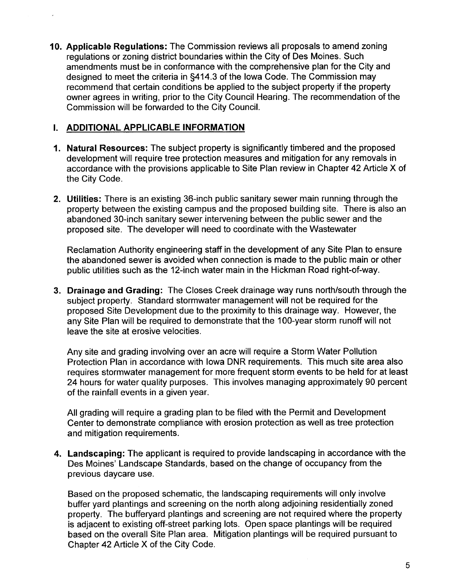10. Applicable Regulations: The Commission reviews all proposals to amend zoning regulations or zoning district boundaries within the City of Des Moines. Such amendments must be in conformance with the comprehensive plan for the City and designed to meet the criteria in §414.3 of the Iowa Code. The Commission may recommend that certain conditions be applied to the subject property if the property owner agrees in writing, prior to the City Council Hearing. The recommendation of the Commission wil be forwarded to the City CounciL.

## i. ADDITIONAL APPLICABLE INFORMATION

- 1. Natural Resources: The subject property is significantly timbered and the proposed development will require tree protection measures and mitigation for any removals in accordance with the provisions applicable to Site Plan review in Chapter 42 Article X of the City Code.
- 2. Utilties: There is an existing 36-inch public sanitary sewer main running through the property between the existing campus and the proposed building site. There is also an abandoned 30-inch sanitary sewer intervening between the public sewer and the proposed site. The developer will need to coordinate with the Wastewater

Reclamation Authority engineering staff in the development of any Site Plan to ensure the abandoned sewer is avoided when connection is made to the public main or other public utilities such as the 12-inch water main in the Hickman Road right-of-way.

3. Drainage and Grading: The Closes Creek drainage way runs north/south through the subject property. Standard stormwater management will not be required for the proposed Site Development due to the proximity to this drainage way. However, the any Site Plan will be required to demonstrate that the 1 OO-year storm runoff will not leave the site at erosive velocities.

Any site and grading involving over an acre will require a Storm Water Pollution Protection Plan in accordance with Iowa DNR requirements. This much site area also requires stormwater management for more frequent storm events to be held for at least 24 hours for water quality purposes. This involves managing approximately 90 percent of the rainfall events in a given year.

All grading will require a grading plan to be filed with the Permit and Development Center to demonstrate compliance with erosion protection as well as tree protection and mitigation requirements.

4. Landscaping: The applicant is required to provide landscaping in accordance with the Des Moines' Landscape Standards, based on the change of occupancy from the previous daycare use.

Based on the proposed schematic, the landscaping requirements will only involve buffer yard plantings and screening on the north along adjoining residentially zoned property. The bufferyard plantings and screening are not required where the property is adjacent to existing off-street parking lots. Open space plantings will be required based on the overall Site Plan area. Mitigation plantings wil be required pursuant to Chapter 42 Article X of the City Code.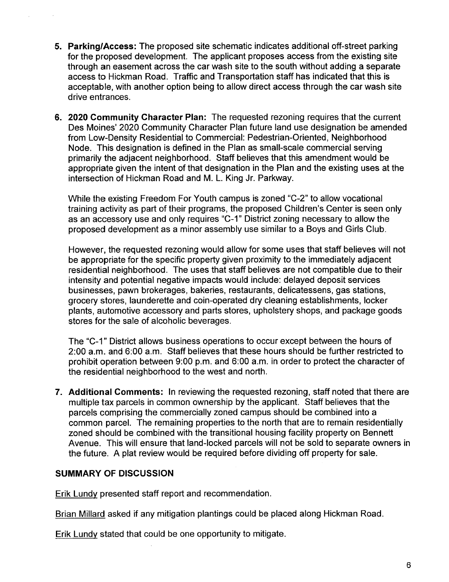- 5. Parking/Access: The proposed site schematic indicates additional off-street parking for the proposed development. The applicant proposes access from the existing site through an easement across the car wash site to the south without adding a separate access to Hickman Road. Traffic and Transportation staff has indicated that this is acceptable, with another option being to allow direct access through the car wash site drive entrances.
- 6. 2020 Community Character Plan: The requested rezoning requires that the current Des Moines' 2020 Community Character Plan future land use designation be amended from Low-Density Residential to Commercial: Pedestrian-Oriented, Neighborhood Node. This designation is defined in the Plan as small-scale commercial serving primarily the adjacent neighborhood. Staff believes that this amendment would be appropriate given the intent of that designation in the Plan and the existing uses at the intersection of Hickman Road and M. L. King Jr. Parkway.

While the existing Freedom For Youth campus is zoned "C-2" to allow vocational training activity as part of their programs, the proposed Children's Center is seen only as an accessory use and only requires "C-1" District zoning necessary to allow the proposed development as a minor assembly use similar to a Boys and Girls Club.

However, the requested rezoning would allow for some uses that staff believes wil not be appropriate for the specific property given proximity to the immediately adjacent residential neighborhood. The uses that staff believes are not compatible due to their intensity and potential negative impacts would include: delayed deposit services businesses, pawn brokerages, bakeries, restaurants, delicatessens, gas stations, grocery stores, launderette and coin-operated dry cleaning establishments, locker plants, automotive accessory and parts stores, upholstery shops, and package goods stores for the sale of alcoholic beverages.

The "C-1" District allows business operations to occur except between the hours of 2:00 a.m. and 6:00 a.m. Staff believes that these hours should be further restricted to prohibit operation between 9:00 p.m. and 6:00 a.m. in order to protect the character of the residential neighborhood to the west and north.

7. Additional Comments: In reviewing the requested rezoning, staff noted that there are multiple tax parcels in common ownership by the applicant. Staff believes that the parcels comprising the commercially zoned campus should be combined into a common parceL. The remaining properties to the north that are to remain residentially zoned should be combined with the transitional housing facility property on Bennett Avenue. This will ensure that land-locked parcels will not be sold to separate owners in the future. A plat review would be required before dividing off property for sale.

## SUMMARY OF DISCUSSION

Erik Lundy presented staff report and recommendation.

Brian Millard asked if any mitigation plantings could be placed along Hickman Road.

Erik Lundy stated that could be one opportunity to mitigate.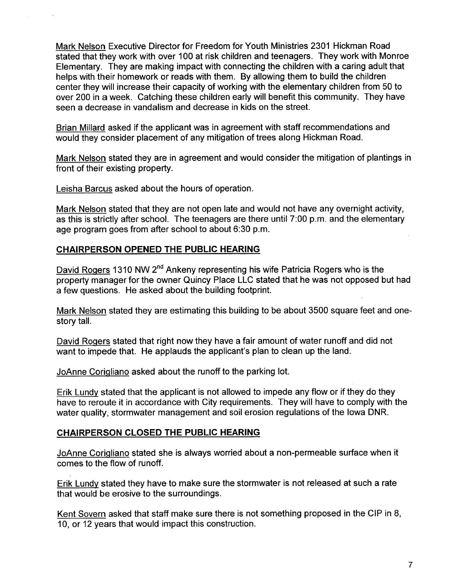Mark Nelson Executive Director for Freedom for Youth Ministries 2301 Hickman Road stated that they work with over 100 at risk children and teenagers. They work with Monroe Elementary. They are making impact with connecting the children with a caring adult that helps with their homework or reads with them. By allowing them to build the children center they will increase their capacity of working with the elementary children from 50 to over 200 in a week. Catching these children early wil benefit this community. They have seen a decrease in vandalism and decrease in kids on the street.

Brian Millard asked if the applicant was in agreement with staff recommendations and would they consider placement of any mitigation of trees along Hickman Road.

Mark Nelson stated they are in agreement and would consider the mitigation of plantings in front of their existing property.

Leisha Barcus asked about the hours of operation.

Mark Nelson stated that they are not open late and would not have any overnight activity, as this is strictly after school. The teenagers are there until 7:00 p.m. and the elementary age program goes from after school to about 6:30 p.m.

## CHAIRPERSON OPENED THE PUBLIC HEARING

David Rogers 1310 NW 2<sup>nd</sup> Ankeny representing his wife Patricia Rogers who is the property manager for the owner Quincy Place LLC stated that he was not opposed but had a few questions. He asked about the building footprint.

Mark Nelson stated they are estimating this building to be about 3500 square feet and onestory talL.

David Roqers stated that right now they have a fair amount of water runoff and did not want to impede that. He applauds the applicant's plan to clean up the land.

JoAnne Coriqliano asked about the runoff to the parking lot.

Erik Lundy stated that the applicant is not allowed to impede any flow or if they do they have to reroute it in accordance with City requirements. They will have to comply with the water quality, stormwater management and soil erosion regulations of the Iowa DNR.

## CHAIRPERSON CLOSED THE PUBLIC HEARING

JoAnne Corigliano stated she is always worried about a non-permeable surface when it comes to the flow of runoff.

Erik Lundy stated they have to make sure the stormwater is not released at such a rate that would be erosive to the surroundings.

Kent Sovern asked that staff make sure there is not something proposed in the CIP in 8, 10, or 12 years that would impact this construction.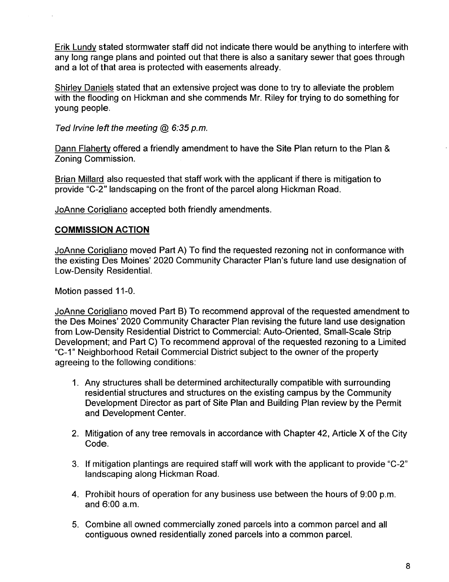Erik Lundy stated stormwater staff did not indicate there would be anything to interfere with any long range plans and pointed out that there is also a sanitary sewer that goes through and a lot of that area is protected with easements already.

Shirley Daniels stated that an extensive project was done to try to alleviate the problem with the flooding on Hickman and she commends Mr. Riley for trying to do something for young people.

Ted Irvine left the meeting  $@$  6:35 p.m.

Dann Flaherty offered a friendly amendment to have the Site Plan return to the Plan & Zoning Commission.

Brian Milard also requested that staff work with the applicant if there is mitigation to provide "C-2" landscaping on the front of the parcel along Hickman Road.

JoAnne CoriQliano accepted both friendly amendments.

## COMMISSION ACTION

JoAnne CoriQliano moved Part A) To find the requested rezoning not in conformance with the existing Des Moines' 2020 Community Character Plan's future land use designation of Low-Density Residential.

Motion passed 11-0.

JoAnne CoriQliano moved Part B) To recommend approval of the requested amendment to the Des Moines' 2020 Community Character Plan revising the future land use designation from Low-Density Residential District to Commercial: Auto-Oriented, Small-Scale Strip Development; and Part C) To recommend approval of the requested rezoning to a Limited "C-1" Neighborhood Retail Commercial District subject to the owner of the property agreeing to the following conditions:

- 1. Any structures shall be determined architecturally compatible with surrounding residential structures and structures on the existing campus by the Community Development Director as part of Site Plan and Building Plan review by the Permit and Development Center.
- 2. Mitigation of any tree removals in accordance with Chapter 42, Article X of the City Code.
- 3. If mitigation plantings are required staff will work with the applicant to provide "C-2" landscaping along Hickman Road.
- 4. Prohibit hours of operation for any business use between the hours of 9:00 p.m. and 6:00 a.m.
- 5. Combine all owned commercially zoned parcels into a common parcel and all contiguous owned residentially zoned parcels into a common parceL.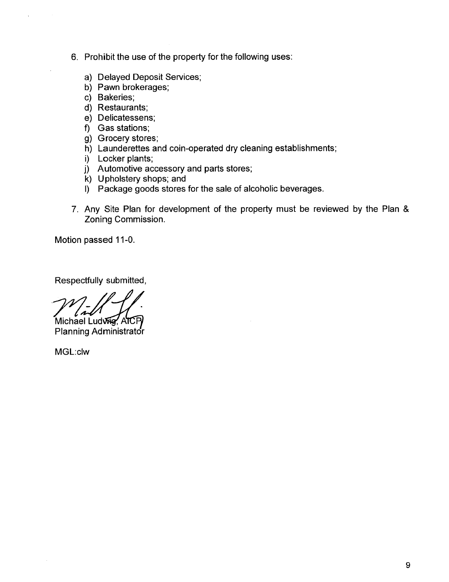- 6. Prohibit the use of the property for the following uses:
	- a) Delayed Deposit Services;
	- b) Pawn brokerages;
	- c) Bakeries;
	- d) Restaurants;
	- e) Delicatessens;
	- f) Gas stations;
	- g) Grocery stores;
	- h) Launderettes and coin-operated dry cleaning establishments;
	- i) Locker plants;
	- j) Automotive accessory and parts stores;
	- k) Upholstery shops; and
	- I) Package goods stores for the sale of alcoholic beverages.
- 7. Any Site Plan for development of the property must be reviewed by the Plan & Zoning Commission.

Motion passed 11-0.

Respectfully submitted,

Michael Ludwig, AICP

Planning Administrator

MGL:clw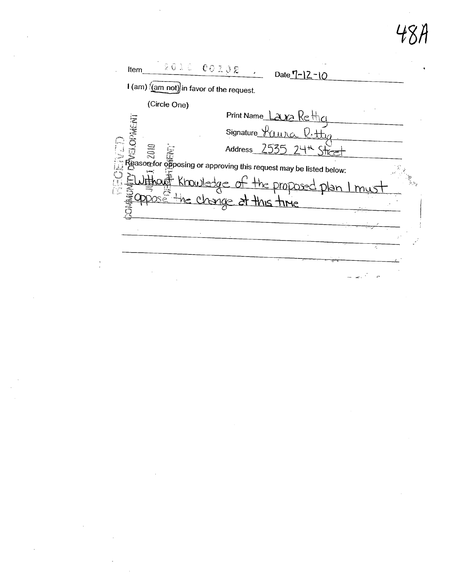48A

 $\hat{\mathcal{A}}$ 

| 201000000208<br>Item<br>Date $7 - 12 - 10$<br>$1$ (am) $\frac{1}{2}$ (am not) in favor of the request. |  |
|--------------------------------------------------------------------------------------------------------|--|
|                                                                                                        |  |
| (Circle One)                                                                                           |  |
| Print Name Lauza Rettice                                                                               |  |
| <b>CRMENT</b><br>Signature $\forall$ ( $\mu$ $\mu$ $\alpha$                                            |  |
| $7535, 74$ K<br>$\Xi$<br>Address<br>$\sum_{i=1}^{n}$                                                   |  |
| Reason for opposing or approving this request may be listed below:                                     |  |
| Khowledge<br><u>ot the DroDo</u>                                                                       |  |
| he change at this time                                                                                 |  |
|                                                                                                        |  |
|                                                                                                        |  |
|                                                                                                        |  |
|                                                                                                        |  |
|                                                                                                        |  |

 $\mathcal{L}^{\text{max}}_{\text{max}}$ 

 $\sim$